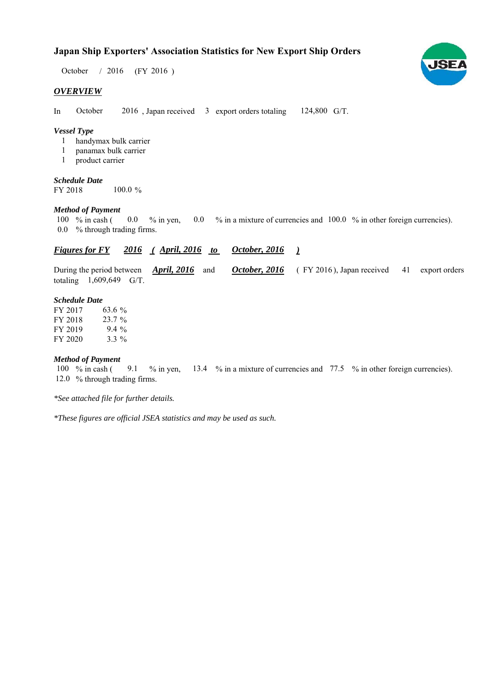# **Japan Ship Exporters' Association Statistics for New Export Ship Orders**

October / 2016 (FY 2016)

## *OVERVIEW*

In October 2016, Japan received 3 export orders totaling 124,800 G/T. October

## *Vessel Type*

- handymax bulk carrier 1
- panamax bulk carrier 1
- product carrier 1

#### *Schedule Date* FY 2018 100.0 %

#### *Method of Payment*

% in cash ( $\ 0.0\ 8$  in yen,  $\ 0.0\ 8$  in a mixture of currencies and  $\ 100.0\ 8$  in other foreign currencies). % through trading firms. 0.0 100  $\%$  in cash (  $0.0 \frac{\%}{\%}$  in yen,

#### *<u>Figures for FY 2016 (April, 2016 to October, 2016)</u> October, 2016*

During the period between *April, 2016* and *October, 2016* (FY 2016), Japan received 41 export orders totaling  $1,609,649$  G/T. **October, 2016** (FY 2016), Japan received 41

#### *Schedule Date*

FY 2017 FY 2018 FY 2019 FY 2020  $3.3\%$ 23.7 % 9.4 63.6 %

#### *Method of Payment*

100 % in cash (9.1 % in yen, 13.4 % in a mixture of currencies and 77.5 % in other foreign currencies). 12.0 % through trading firms.

*\*See attached file for further details.*

*\*These figures are official JSEA statistics and may be used as such.*

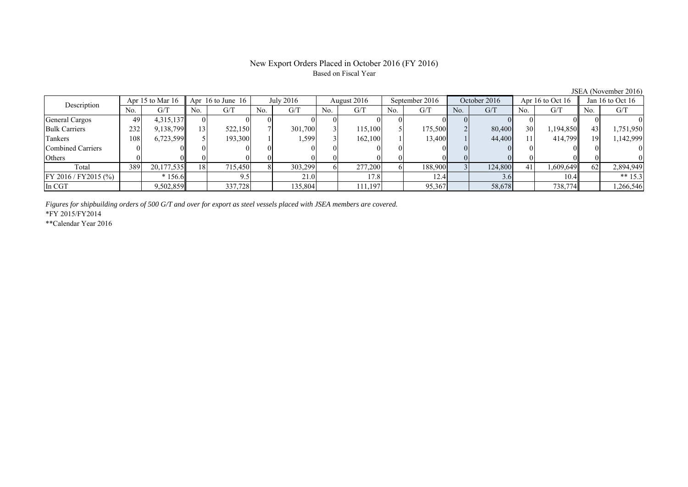#### New Export Orders Placed in October 2016 (FY 2016) Based on Fiscal Year

No. G/T No. G/T No. G/T No. G/T No. G/T No. G/T No. G/T No. G/T General Cargos 49 4,315,137 0 0 0 0 0 0 0 0 0 0 0 0 0 0 Bulk Carriers 1 232 9,138,799 13 522,150 7 301,700 3 115,100 5 175,500 2 80,400 30 1,194,850 43 1,751,950 Tankers 108 6,723,599 5 193,300 1 1,599 3 162,100 1 13,400 1 44,400 1 414,799 19 1,142,999 Combined Carriers 0 0 0 0 0 0 0 0 0 0 0 0 0 0 0 0 Others | 0 | 0 || 0 || 0 || 0 || 0 || 0 || 0 || 0 || 0 || 0 | Total | 389 20,177,535|| 18 715,450 8 303,299 6 277,200 6 188,900 3 124,800 41 1,609,649 62 2,894,949 FY 2016 / FY2015 (%) \* 156.6 9.5 21.0 17.8 12.4 3.6 10.4 \*\* 15.3 In CGT | | 9,502,859|| | 337,728| | 135,804| | 111,197| | 95,367| | 58,678| | 738,774|| | 1,266,546 Description Apr 15 to Mar 16 Apr 16 to June 16 July 2016 August 2016<br>No. | G/T No. | G/T No. | G/T No. | G/T September 2016 October 2016 Apr 16 to Oct 16 Jan 16 to Oct 16

*Figures for shipbuilding orders of 500 G/T and over for export as steel vessels placed with JSEA members are covered.*

\*FY 2015/FY2014

\*\*Calendar Year 2016

JSEA (November 2016)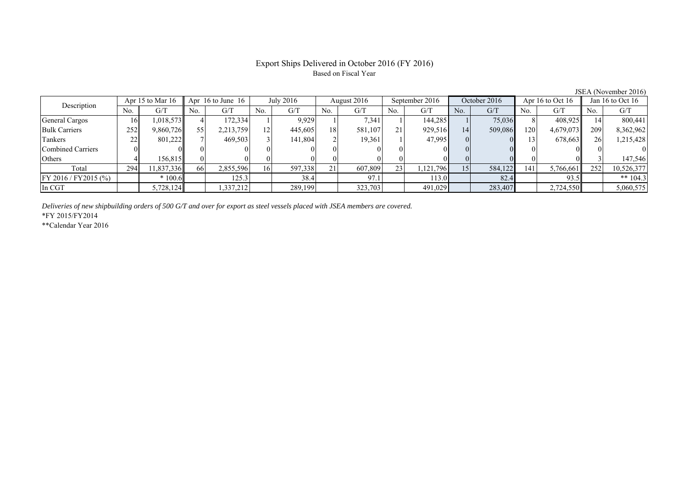## Export Ships Delivered in October 2016 (FY 2016) Based on Fiscal Year

| Description             | Apr 15 to Mar $16$ |           | Apr 16 to June 16 |           | July 2016 |         | August 2016 |          | September 2016 |           | October 2016 |         | Apr 16 to Oct 16 |           | Jan 16 to Oct 16 |            |
|-------------------------|--------------------|-----------|-------------------|-----------|-----------|---------|-------------|----------|----------------|-----------|--------------|---------|------------------|-----------|------------------|------------|
|                         | No.                | G/T       | No.               | G/T       | No.       | G/T     | No.         | G/T      | No.            | G/T       | No.          | G/T     | No.              | G/T       | No.              | G/T        |
| General Cargos          | 161                | 1,018,573 |                   | 172,334   |           | 9,929   |             | 7,341    |                | 144,285   |              | 75,036  |                  | 408,925   |                  | 800,441    |
| <b>Bulk Carriers</b>    | 252                | 9,860,726 | 55                | 2,213,759 | 12        | 445,605 | 18          | 581,107  | 21             | 929,516   | 14           | 509,086 | 120 <sub>1</sub> | 4,679,073 | 209              | 8,362,962  |
| Tankers                 | 22                 | 801,222   |                   | 469,503   |           | 141.804 |             | 19,361   |                | 47.995    | $\Omega$     |         |                  | 678.663   | 26               | 1,215,428  |
| Combined Carriers       |                    |           |                   |           |           |         |             | $\Omega$ |                |           | $\Omega$     |         |                  |           |                  |            |
| Others                  |                    | 156.815   |                   |           |           |         |             | $\Omega$ |                |           |              |         |                  |           |                  | 147,546    |
| Total                   | 294                | 1,837,336 | 66                | 2,855,596 | 16        | 597,338 | 21          | 607,809  | 23             | 1,121,796 | 15           | 584,122 | 141              | 5,766,661 | 252              | 10,526,377 |
| $FY 2016 / FY 2015$ (%) |                    | $*100.6$  |                   | 125.3     |           | 38.4    |             | 97.1     |                | 113.0     |              | 82.4    |                  | 93.5      |                  | ** $104.3$ |
| In CGT                  |                    | 5,728,124 |                   | .337.212  |           | 289,199 |             | 323,703  |                | 491,029   |              | 283,407 |                  | 2,724,550 |                  | 5,060,575  |
|                         |                    |           |                   |           |           |         |             |          |                |           |              |         |                  |           |                  |            |

*Deliveries of new shipbuilding orders of 500 G/T and over for export as steel vessels placed with JSEA members are covered.*

\*FY 2015/FY2014

\*\*Calendar Year 2016

JSEA (November 2016)